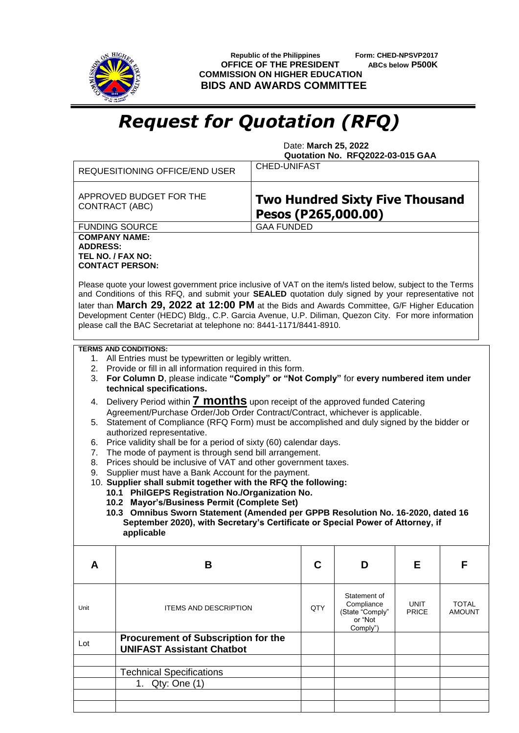

 **Republic of the Philippines Form: CHED-NPSVP2017 OFFICE OF THE PRESIDENT ABCs below P500K COMMISSION ON HIGHER EDUCATION BIDS AND AWARDS COMMITTEE**

## *Request for Quotation (RFQ)*

 Date: **March 25, 2022 Quotation No. RFQ2022-03-015 GAA**

|                                                                                                                                                                                                                                                                                                                                                                                                              | <b>REQUESITIONING OFFICE/END USER</b>                                          | <b>CHED-UNIFAST</b>                                           |  |                                                                      |                      |                               |  |
|--------------------------------------------------------------------------------------------------------------------------------------------------------------------------------------------------------------------------------------------------------------------------------------------------------------------------------------------------------------------------------------------------------------|--------------------------------------------------------------------------------|---------------------------------------------------------------|--|----------------------------------------------------------------------|----------------------|-------------------------------|--|
| APPROVED BUDGET FOR THE<br>CONTRACT (ABC)                                                                                                                                                                                                                                                                                                                                                                    |                                                                                | <b>Two Hundred Sixty Five Thousand</b><br>Pesos (P265,000.00) |  |                                                                      |                      |                               |  |
|                                                                                                                                                                                                                                                                                                                                                                                                              | <b>FUNDING SOURCE</b>                                                          | <b>GAA FUNDED</b>                                             |  |                                                                      |                      |                               |  |
| <b>COMPANY NAME:</b><br><b>ADDRESS:</b><br>TEL NO. / FAX NO:<br><b>CONTACT PERSON:</b><br>Please quote your lowest government price inclusive of VAT on the item/s listed below, subject to the Terms<br>and Conditions of this RFQ, and submit your SEALED quotation duly signed by your representative not<br>later than March 29, 2022 at 12:00 PM at the Bids and Awards Committee, G/F Higher Education |                                                                                |                                                               |  |                                                                      |                      |                               |  |
| Development Center (HEDC) Bldg., C.P. Garcia Avenue, U.P. Diliman, Quezon City. For more information<br>please call the BAC Secretariat at telephone no: 8441-1171/8441-8910.                                                                                                                                                                                                                                |                                                                                |                                                               |  |                                                                      |                      |                               |  |
| <b>TERMS AND CONDITIONS:</b>                                                                                                                                                                                                                                                                                                                                                                                 |                                                                                |                                                               |  |                                                                      |                      |                               |  |
| 1. All Entries must be typewritten or legibly written.<br>2. Provide or fill in all information required in this form.                                                                                                                                                                                                                                                                                       |                                                                                |                                                               |  |                                                                      |                      |                               |  |
| For Column D, please indicate "Comply" or "Not Comply" for every numbered item under<br>3.<br>technical specifications.                                                                                                                                                                                                                                                                                      |                                                                                |                                                               |  |                                                                      |                      |                               |  |
| Delivery Period within <b>7 months</b> upon receipt of the approved funded Catering<br>4.<br>Agreement/Purchase Order/Job Order Contract/Contract, whichever is applicable.                                                                                                                                                                                                                                  |                                                                                |                                                               |  |                                                                      |                      |                               |  |
| Statement of Compliance (RFQ Form) must be accomplished and duly signed by the bidder or<br>5.<br>authorized representative.                                                                                                                                                                                                                                                                                 |                                                                                |                                                               |  |                                                                      |                      |                               |  |
| Price validity shall be for a period of sixty (60) calendar days.<br>6.                                                                                                                                                                                                                                                                                                                                      |                                                                                |                                                               |  |                                                                      |                      |                               |  |
| The mode of payment is through send bill arrangement.<br>7.<br>Prices should be inclusive of VAT and other government taxes.<br>8.                                                                                                                                                                                                                                                                           |                                                                                |                                                               |  |                                                                      |                      |                               |  |
| Supplier must have a Bank Account for the payment.<br>9.                                                                                                                                                                                                                                                                                                                                                     |                                                                                |                                                               |  |                                                                      |                      |                               |  |
|                                                                                                                                                                                                                                                                                                                                                                                                              | 10. Supplier shall submit together with the RFQ the following:                 |                                                               |  |                                                                      |                      |                               |  |
| 10.1 PhilGEPS Registration No./Organization No.<br>10.2 Mayor's/Business Permit (Complete Set)                                                                                                                                                                                                                                                                                                               |                                                                                |                                                               |  |                                                                      |                      |                               |  |
| 10.3 Omnibus Sworn Statement (Amended per GPPB Resolution No. 16-2020, dated 16                                                                                                                                                                                                                                                                                                                              |                                                                                |                                                               |  |                                                                      |                      |                               |  |
| September 2020), with Secretary's Certificate or Special Power of Attorney, if<br>applicable                                                                                                                                                                                                                                                                                                                 |                                                                                |                                                               |  |                                                                      |                      |                               |  |
| A                                                                                                                                                                                                                                                                                                                                                                                                            | B                                                                              | C                                                             |  | D                                                                    | Е                    | F                             |  |
| Unit                                                                                                                                                                                                                                                                                                                                                                                                         | <b>ITEMS AND DESCRIPTION</b>                                                   | QTY                                                           |  | Statement of<br>Compliance<br>(State "Comply"<br>or "Not<br>Comply") | UNIT<br><b>PRICE</b> | <b>TOTAL</b><br><b>AMOUNT</b> |  |
| Lot                                                                                                                                                                                                                                                                                                                                                                                                          | <b>Procurement of Subscription for the</b><br><b>UNIFAST Assistant Chatbot</b> |                                                               |  |                                                                      |                      |                               |  |
|                                                                                                                                                                                                                                                                                                                                                                                                              | <b>Technical Specifications</b>                                                |                                                               |  |                                                                      |                      |                               |  |
|                                                                                                                                                                                                                                                                                                                                                                                                              | 1. Qty: One (1)                                                                |                                                               |  |                                                                      |                      |                               |  |
|                                                                                                                                                                                                                                                                                                                                                                                                              |                                                                                |                                                               |  |                                                                      |                      |                               |  |
|                                                                                                                                                                                                                                                                                                                                                                                                              |                                                                                |                                                               |  |                                                                      |                      |                               |  |